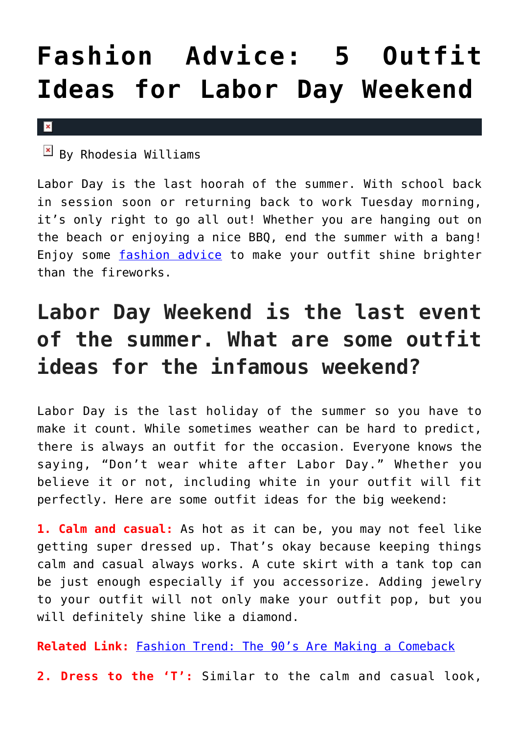## **[Fashion Advice: 5 Outfit](https://cupidspulse.com/125583/fashion-advice-outfit-ideas-labor-day-weekend/) [Ideas for Labor Day Weekend](https://cupidspulse.com/125583/fashion-advice-outfit-ideas-labor-day-weekend/)**

 $\mathbf x$ 

 $\mathbb{F}$  By Rhodesia Williams

Labor Day is the last hoorah of the summer. With school back in session soon or returning back to work Tuesday morning, it's only right to go all out! Whether you are hanging out on the beach or enjoying a nice BBQ, end the summer with a bang! Enjoy some [fashion advice](http://cupidspulse.com/fashion/) to make your outfit shine brighter than the fireworks.

## **Labor Day Weekend is the last event of the summer. What are some outfit ideas for the infamous weekend?**

Labor Day is the last holiday of the summer so you have to make it count. While sometimes weather can be hard to predict, there is always an outfit for the occasion. Everyone knows the saying, "Don't wear white after Labor Day." Whether you believe it or not, including white in your outfit will fit perfectly. Here are some outfit ideas for the big weekend:

**1. Calm and casual:** As hot as it can be, you may not feel like getting super dressed up. That's okay because keeping things calm and casual always works. A cute skirt with a tank top can be just enough especially if you accessorize. Adding jewelry to your outfit will not only make your outfit pop, but you will definitely shine like a diamond.

**Related Link:** [Fashion Trend: The 90's Are Making a Comeback](http://cupidspulse.com/117157/fashion-trend-90s-making-comeback/)

**2. Dress to the 'T':** Similar to the calm and casual look,